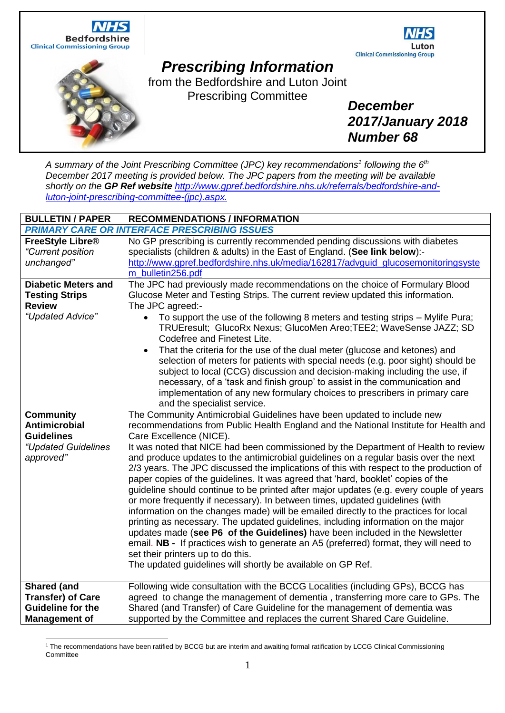





## *Prescribing Information*

from the Bedfordshire and Luton Joint Prescribing Committee

*December 2017/January 2018 Number 68*

*A summary of the Joint Prescribing Committee (JPC) key recommendations<sup>1</sup> following the 6 th December 2017 meeting is provided below. The JPC papers from the meeting will be available shortly on the GP Ref website [http://www.gpref.bedfordshire.nhs.uk/referrals/bedfordshire-and](http://www.gpref.bedfordshire.nhs.uk/referrals/bedfordshire-and-luton-joint-prescribing-committee-(jpc).aspx)[luton-joint-prescribing-committee-\(jpc\).aspx.](http://www.gpref.bedfordshire.nhs.uk/referrals/bedfordshire-and-luton-joint-prescribing-committee-(jpc).aspx)* 

| <b>BULLETIN / PAPER</b>                                                                            | <b>RECOMMENDATIONS / INFORMATION</b>                                                                                                                                                                                                                                                                                                                                                                                                                                                                                                                                                                                                                                                                                                                                                                                                                                                                                                                                                                                                                                                                                                                                                                                        |
|----------------------------------------------------------------------------------------------------|-----------------------------------------------------------------------------------------------------------------------------------------------------------------------------------------------------------------------------------------------------------------------------------------------------------------------------------------------------------------------------------------------------------------------------------------------------------------------------------------------------------------------------------------------------------------------------------------------------------------------------------------------------------------------------------------------------------------------------------------------------------------------------------------------------------------------------------------------------------------------------------------------------------------------------------------------------------------------------------------------------------------------------------------------------------------------------------------------------------------------------------------------------------------------------------------------------------------------------|
|                                                                                                    | <b>PRIMARY CARE OR INTERFACE PRESCRIBING ISSUES</b>                                                                                                                                                                                                                                                                                                                                                                                                                                                                                                                                                                                                                                                                                                                                                                                                                                                                                                                                                                                                                                                                                                                                                                         |
| FreeStyle Libre <sup>®</sup><br>"Current position<br>unchanged"                                    | No GP prescribing is currently recommended pending discussions with diabetes<br>specialists (children & adults) in the East of England. (See link below):-<br>http://www.gpref.bedfordshire.nhs.uk/media/162817/advguid_glucosemonitoringsyste<br>m_bulletin256.pdf                                                                                                                                                                                                                                                                                                                                                                                                                                                                                                                                                                                                                                                                                                                                                                                                                                                                                                                                                         |
| <b>Diabetic Meters and</b><br><b>Testing Strips</b><br><b>Review</b><br>"Updated Advice"           | The JPC had previously made recommendations on the choice of Formulary Blood<br>Glucose Meter and Testing Strips. The current review updated this information.<br>The JPC agreed:-<br>To support the use of the following 8 meters and testing strips - Mylife Pura;<br>$\bullet$<br>TRUEresult; GlucoRx Nexus; GlucoMen Areo; TEE2; WaveSense JAZZ; SD<br>Codefree and Finetest Lite.<br>That the criteria for the use of the dual meter (glucose and ketones) and<br>$\bullet$<br>selection of meters for patients with special needs (e.g. poor sight) should be<br>subject to local (CCG) discussion and decision-making including the use, if<br>necessary, of a 'task and finish group' to assist in the communication and<br>implementation of any new formulary choices to prescribers in primary care                                                                                                                                                                                                                                                                                                                                                                                                              |
| Community<br>Antimicrobial<br><b>Guidelines</b><br>"Updated Guidelines<br>approved"                | and the specialist service.<br>The Community Antimicrobial Guidelines have been updated to include new<br>recommendations from Public Health England and the National Institute for Health and<br>Care Excellence (NICE).<br>It was noted that NICE had been commissioned by the Department of Health to review<br>and produce updates to the antimicrobial guidelines on a regular basis over the next<br>2/3 years. The JPC discussed the implications of this with respect to the production of<br>paper copies of the guidelines. It was agreed that 'hard, booklet' copies of the<br>guideline should continue to be printed after major updates (e.g. every couple of years<br>or more frequently if necessary). In between times, updated guidelines (with<br>information on the changes made) will be emailed directly to the practices for local<br>printing as necessary. The updated guidelines, including information on the major<br>updates made (see P6 of the Guidelines) have been included in the Newsletter<br>email. NB - If practices wish to generate an A5 (preferred) format, they will need to<br>set their printers up to do this.<br>The updated guidelines will shortly be available on GP Ref. |
| <b>Shared (and</b><br><b>Transfer) of Care</b><br><b>Guideline for the</b><br><b>Management of</b> | Following wide consultation with the BCCG Localities (including GPs), BCCG has<br>agreed to change the management of dementia, transferring more care to GPs. The<br>Shared (and Transfer) of Care Guideline for the management of dementia was<br>supported by the Committee and replaces the current Shared Care Guideline.                                                                                                                                                                                                                                                                                                                                                                                                                                                                                                                                                                                                                                                                                                                                                                                                                                                                                               |

<sup>1</sup> The recommendations have been ratified by BCCG but are interim and awaiting formal ratification by LCCG Clinical Commissioning **Committee**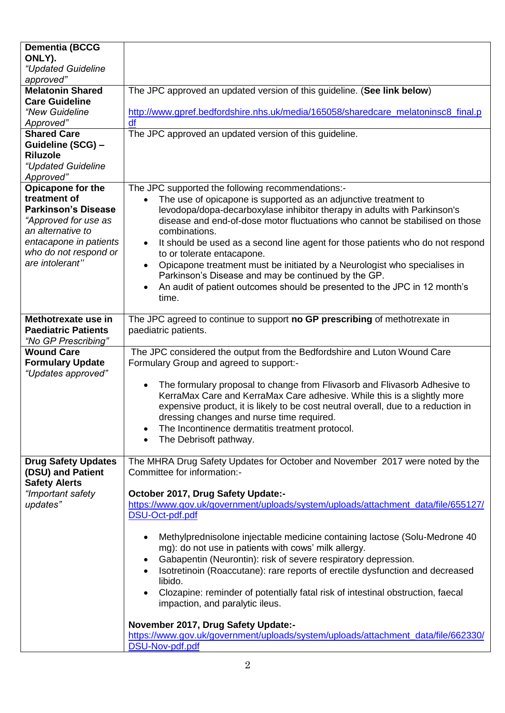| <b>Dementia (BCCG</b><br>ONLY).<br>"Updated Guideline<br>approved"<br><b>Melatonin Shared</b><br><b>Care Guideline</b><br>"New Guideline<br>Approved"<br><b>Shared Care</b><br>Guideline (SCG) -<br><b>Riluzole</b><br>"Updated Guideline | The JPC approved an updated version of this guideline. (See link below)<br>http://www.gpref.bedfordshire.nhs.uk/media/165058/sharedcare_melatoninsc8_final.p<br>df<br>The JPC approved an updated version of this guideline.                                                                                                                                                                                                                                                                                                                                                                                                                                                       |
|-------------------------------------------------------------------------------------------------------------------------------------------------------------------------------------------------------------------------------------------|------------------------------------------------------------------------------------------------------------------------------------------------------------------------------------------------------------------------------------------------------------------------------------------------------------------------------------------------------------------------------------------------------------------------------------------------------------------------------------------------------------------------------------------------------------------------------------------------------------------------------------------------------------------------------------|
| Approved"<br>Opicapone for the<br>treatment of<br><b>Parkinson's Disease</b><br>"Approved for use as<br>an alternative to<br>entacapone in patients<br>who do not respond or<br>are intolerant"                                           | The JPC supported the following recommendations:-<br>The use of opicapone is supported as an adjunctive treatment to<br>$\bullet$<br>levodopa/dopa-decarboxylase inhibitor therapy in adults with Parkinson's<br>disease and end-of-dose motor fluctuations who cannot be stabilised on those<br>combinations.<br>It should be used as a second line agent for those patients who do not respond<br>$\bullet$<br>to or tolerate entacapone.<br>Opicapone treatment must be initiated by a Neurologist who specialises in<br>$\bullet$<br>Parkinson's Disease and may be continued by the GP.<br>An audit of patient outcomes should be presented to the JPC in 12 month's<br>time. |
| Methotrexate use in<br><b>Paediatric Patients</b><br>"No GP Prescribing"                                                                                                                                                                  | The JPC agreed to continue to support no GP prescribing of methotrexate in<br>paediatric patients.                                                                                                                                                                                                                                                                                                                                                                                                                                                                                                                                                                                 |
| <b>Wound Care</b><br><b>Formulary Update</b><br>"Updates approved"                                                                                                                                                                        | The JPC considered the output from the Bedfordshire and Luton Wound Care<br>Formulary Group and agreed to support:-<br>The formulary proposal to change from Flivasorb and Flivasorb Adhesive to<br>$\bullet$<br>KerraMax Care and KerraMax Care adhesive. While this is a slightly more<br>expensive product, it is likely to be cost neutral overall, due to a reduction in<br>dressing changes and nurse time required.<br>The Incontinence dermatitis treatment protocol.<br>$\bullet$<br>The Debrisoft pathway.                                                                                                                                                               |
| <b>Drug Safety Updates</b><br>(DSU) and Patient<br><b>Safety Alerts</b>                                                                                                                                                                   | The MHRA Drug Safety Updates for October and November 2017 were noted by the<br>Committee for information:-                                                                                                                                                                                                                                                                                                                                                                                                                                                                                                                                                                        |
| "Important safety<br>updates"                                                                                                                                                                                                             | October 2017, Drug Safety Update:-<br>https://www.gov.uk/government/uploads/system/uploads/attachment_data/file/655127/<br>DSU-Oct-pdf.pdf<br>Methylprednisolone injectable medicine containing lactose (Solu-Medrone 40)<br>mg): do not use in patients with cows' milk allergy.<br>Gabapentin (Neurontin): risk of severe respiratory depression.<br>$\bullet$<br>Isotretinoin (Roaccutane): rare reports of erectile dysfunction and decreased<br>libido.<br>Clozapine: reminder of potentially fatal risk of intestinal obstruction, faecal<br>impaction, and paralytic ileus.<br>November 2017, Drug Safety Update:-                                                          |
|                                                                                                                                                                                                                                           | https://www.gov.uk/government/uploads/system/uploads/attachment_data/file/662330/                                                                                                                                                                                                                                                                                                                                                                                                                                                                                                                                                                                                  |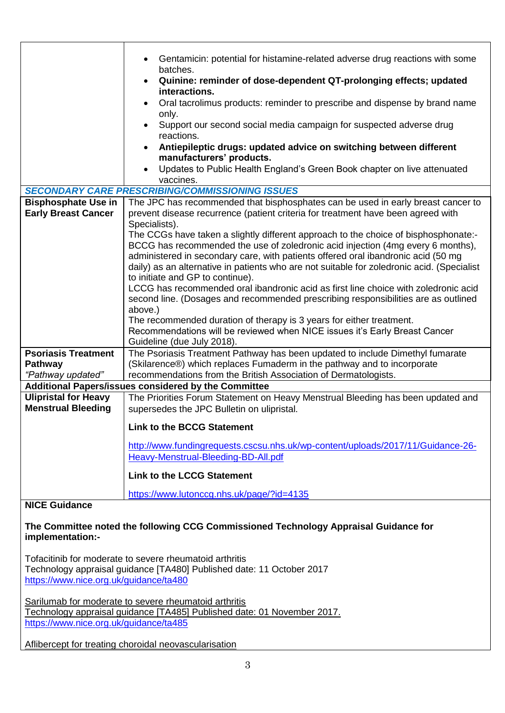|                                                                                                          | Gentamicin: potential for histamine-related adverse drug reactions with some               |  |
|----------------------------------------------------------------------------------------------------------|--------------------------------------------------------------------------------------------|--|
|                                                                                                          | batches.                                                                                   |  |
|                                                                                                          | Quinine: reminder of dose-dependent QT-prolonging effects; updated                         |  |
|                                                                                                          | interactions.                                                                              |  |
|                                                                                                          | Oral tacrolimus products: reminder to prescribe and dispense by brand name                 |  |
|                                                                                                          | only.                                                                                      |  |
|                                                                                                          | Support our second social media campaign for suspected adverse drug                        |  |
|                                                                                                          | reactions.<br>Antiepileptic drugs: updated advice on switching between different           |  |
|                                                                                                          | manufacturers' products.                                                                   |  |
|                                                                                                          | Updates to Public Health England's Green Book chapter on live attenuated                   |  |
|                                                                                                          | vaccines.                                                                                  |  |
|                                                                                                          | <b>SECONDARY CARE PRESCRIBING/COMMISSIONING ISSUES</b>                                     |  |
| <b>Bisphosphate Use in</b>                                                                               | The JPC has recommended that bisphosphates can be used in early breast cancer to           |  |
| <b>Early Breast Cancer</b>                                                                               | prevent disease recurrence (patient criteria for treatment have been agreed with           |  |
|                                                                                                          | Specialists).                                                                              |  |
|                                                                                                          | The CCGs have taken a slightly different approach to the choice of bisphosphonate:-        |  |
|                                                                                                          | BCCG has recommended the use of zoledronic acid injection (4mg every 6 months),            |  |
|                                                                                                          | administered in secondary care, with patients offered oral ibandronic acid (50 mg          |  |
|                                                                                                          | daily) as an alternative in patients who are not suitable for zoledronic acid. (Specialist |  |
|                                                                                                          | to initiate and GP to continue).                                                           |  |
|                                                                                                          | LCCG has recommended oral ibandronic acid as first line choice with zoledronic acid        |  |
|                                                                                                          | second line. (Dosages and recommended prescribing responsibilities are as outlined         |  |
|                                                                                                          | above.)                                                                                    |  |
|                                                                                                          | The recommended duration of therapy is 3 years for either treatment.                       |  |
|                                                                                                          | Recommendations will be reviewed when NICE issues it's Early Breast Cancer                 |  |
|                                                                                                          | Guideline (due July 2018).                                                                 |  |
| <b>Psoriasis Treatment</b>                                                                               | The Psoriasis Treatment Pathway has been updated to include Dimethyl fumarate              |  |
| <b>Pathway</b>                                                                                           | (Skilarence®) which replaces Fumaderm in the pathway and to incorporate                    |  |
| "Pathway updated"                                                                                        | recommendations from the British Association of Dermatologists.                            |  |
| Additional Papers/issues considered by the Committee                                                     |                                                                                            |  |
| <b>Ulipristal for Heavy</b>                                                                              | The Priorities Forum Statement on Heavy Menstrual Bleeding has been updated and            |  |
| <b>Menstrual Bleeding</b>                                                                                | supersedes the JPC Bulletin on ulipristal.                                                 |  |
|                                                                                                          | <b>Link to the BCCG Statement</b>                                                          |  |
|                                                                                                          |                                                                                            |  |
|                                                                                                          | http://www.fundingrequests.cscsu.nhs.uk/wp-content/uploads/2017/11/Guidance-26-            |  |
|                                                                                                          | Heavy-Menstrual-Bleeding-BD-All.pdf                                                        |  |
|                                                                                                          | <b>Link to the LCCG Statement</b>                                                          |  |
|                                                                                                          | https://www.lutonccg.nhs.uk/page/?id=4135                                                  |  |
| <b>NICE Guidance</b>                                                                                     |                                                                                            |  |
|                                                                                                          |                                                                                            |  |
| The Committee noted the following CCG Commissioned Technology Appraisal Guidance for<br>implementation:- |                                                                                            |  |
|                                                                                                          | Tofacitinib for moderate to severe rheumatoid arthritis                                    |  |
| Technology appraisal guidance [TA480] Published date: 11 October 2017                                    |                                                                                            |  |

<https://www.nice.org.uk/guidance/ta480>

Sarilumab for moderate to severe rheumatoid arthritis Technology appraisal guidance [TA485] Published date: 01 November 2017. <https://www.nice.org.uk/guidance/ta485>

Aflibercept for treating choroidal neovascularisation